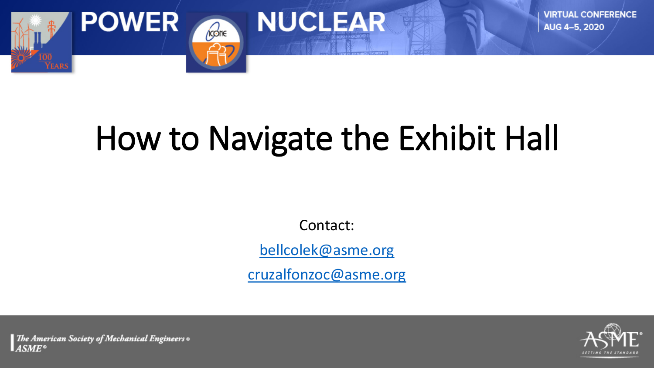

# How to Navigate the Exhibit Hall

**NUCLEAR** 

Contact:

[bellcolek@asme.org](mailto:bellcolek@asme.org)

[cruzalfonzoc@asme.org](mailto:cruzalfonzoc@asme.org)



The American Society of Mechanical Engineers .  $ASME^*$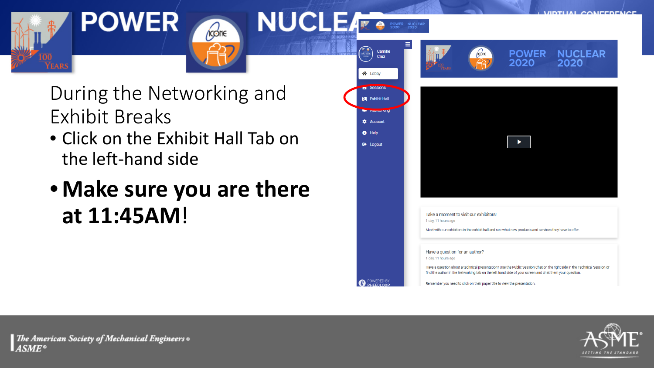



During the Networking and Exhibit Breaks

*Kone* 

- Click on the Exhibit Hall Tab on the left-hand side
- **Make sure you are there at 11:45AM**!



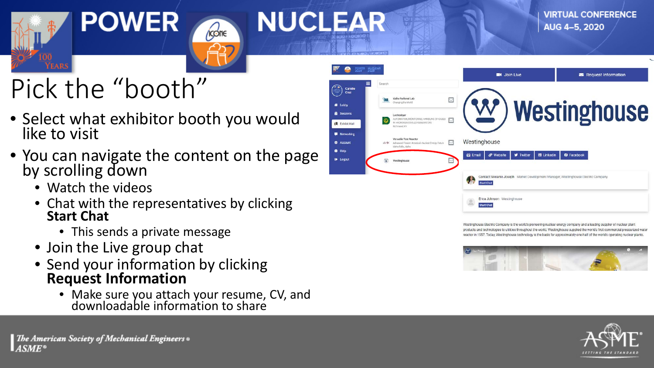



## Pick the "booth"

- Select what exhibitor booth you would like to visit
- You can navigate the content on the page by scrolling down
	- Watch the videos
	- Chat with the representatives by clicking **Start Chat**
		- This sends a private message
	- Join the Live group chat
	- Send your information by clicking **Request Information**
		- Make sure you attach your resume, CV, and downloadable information to share



Westinghouse Electric Company is the world's pioneering nuclear energy company and a leading supplier of nuclear plant products and technologies to utilities throughout the world. Westinghouse supplied the world's first commercial pressurized water reactor in 1957. Today, Westinghouse technology is the basis for approximately one-half of the world's operating nuclear plants



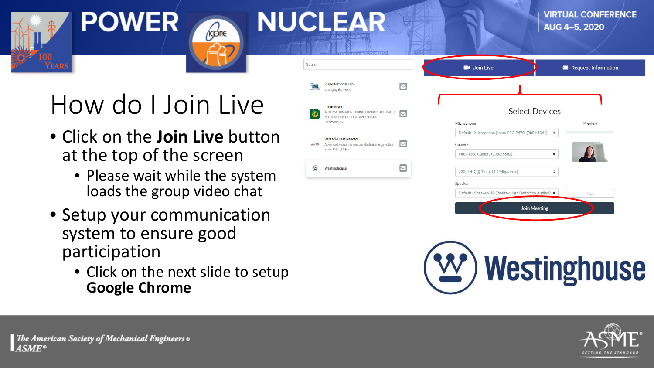

### How do I Join Live

*Ícone* 

**NUCLEAR** 

- Click on the **Join Live** button at the top of the screen
	- Please wait while the system loads the group video chat
- Setup your communication system to ensure good participation
	- Click on the next slide to setup **Google Chrome**

| earch                                                                      |                                                                                                           |                  | <b>C</b> I Join Live                                                                         |                                  | Request Information |  |
|----------------------------------------------------------------------------|-----------------------------------------------------------------------------------------------------------|------------------|----------------------------------------------------------------------------------------------|----------------------------------|---------------------|--|
| <b>TNL</b>                                                                 | <b>Idaho National Lab</b><br>Changing the World                                                           |                  |                                                                                              |                                  |                     |  |
| $\circledcirc$                                                             | Lectrodryer<br>AUTOMATION, MONITORING, HANDLING OF GASES<br>IN HYDROGEN COOLED GENERATORS<br>Richmond, KY |                  | Microphone                                                                                   | <b>Select Devices</b><br>Preview |                     |  |
| $\frac{1}{\text{mean}}\sum_{i=1}^{n} \sum_{i=1}^{n} \frac{1}{\text{mean}}$ | <b>Versatile Test Reactor</b><br>Advanced Fission: America's Nuclear Energy Future<br>Idaho Falls, Idaho  | $\triangleright$ | Default - Microphone (Jabra PRO 9470) (0b0e:1041)<br>Camera<br>Integrated Camera (13d3:56b2) | $\div$<br>٠                      |                     |  |
| $(\underline{w})$                                                          | Westinghouse                                                                                              | <b>COLOR</b>     | 720p (HD) @ 15 fps (1.4 Mbps max)                                                            | ÷                                |                     |  |
|                                                                            |                                                                                                           |                  | Speaker                                                                                      |                                  |                     |  |
|                                                                            |                                                                                                           |                  | Default - Speaker/HP (Realtek High Definition Audio(S! ♦                                     |                                  | Test                |  |
|                                                                            |                                                                                                           |                  |                                                                                              | <b>Join Meeting</b>              |                     |  |



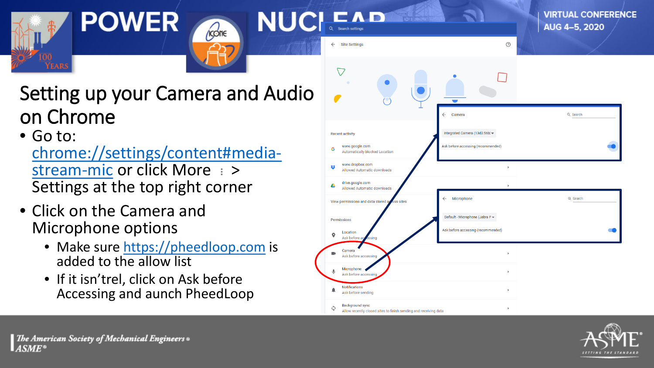

**VIRTUAL CONFERENCE** 

#### Setting up your Camera and Audio on Chrome

kcone

• Go to: [chrome://settings/content#media-](chrome://settings/content#media-stream-mic)<br>stream-mic or click More : > Settings at the top right corner

**POWER** 

- Click on the Camera and Microphone options
	- Make sure [https://pheedloop.com](https://pheedloop.com/) is added to the allow list
	- If it isn'trel, click on Ask before Accessing and aunch PheedLoop